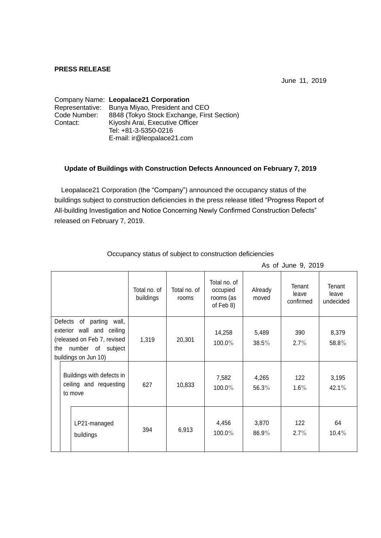## **PRESS RELEASE**

June 11, 2019

|              | Company Name: Leopalace21 Corporation          |  |  |  |  |
|--------------|------------------------------------------------|--|--|--|--|
|              | Representative: Bunya Miyao, President and CEO |  |  |  |  |
| Code Number: | 8848 (Tokyo Stock Exchange, First Section)     |  |  |  |  |
| Contact:     | Kiyoshi Arai, Executive Officer                |  |  |  |  |
|              | Tel: +81-3-5350-0216                           |  |  |  |  |
|              | E-mail: ir@leopalace21.com                     |  |  |  |  |

## **Update of Buildings with Construction Defects Announced on February 7, 2019**

Leopalace21 Corporation (the "Company") announced the occupancy status of the buildings subject to construction deficiencies in the press release titled "Progress Report of All-building Investigation and Notice Concerning Newly Confirmed Construction Defects" released on February 7, 2019.

|                                                                                                                                                   |  |                                                                | Total no. of<br>buildings | Total no. of<br>rooms | Total no. of<br>occupied<br>rooms (as<br>of Feb 8) | Already<br>moved  | Tenant<br>leave<br>confirmed | Tenant<br>leave<br>undecided |
|---------------------------------------------------------------------------------------------------------------------------------------------------|--|----------------------------------------------------------------|---------------------------|-----------------------|----------------------------------------------------|-------------------|------------------------------|------------------------------|
| Defects<br>of<br>parting<br>wall,<br>exterior wall and ceiling<br>(released on Feb 7, revised<br>number of subject<br>the<br>buildings on Jun 10) |  |                                                                | 1,319                     | 20,301                | 14,258<br>100.0%                                   | 5,489<br>$38.5\%$ | 390<br>$2.7\%$               | 8,379<br>58.8%               |
|                                                                                                                                                   |  | Buildings with defects in<br>ceiling and requesting<br>to move | 627                       | 10,833                | 7,582<br>100.0%                                    | 4,265<br>56.3%    | 122<br>$1.6\%$               | 3,195<br>42.1%               |
|                                                                                                                                                   |  | LP21-managed<br>buildings                                      | 394                       | 6,913                 | 4,456<br>100.0%                                    | 3,870<br>$86.9\%$ | 122<br>$2.7\%$               | 64<br>$10.4\%$               |

Occupancy status of subject to construction deficiencies

As of June 9, 2019